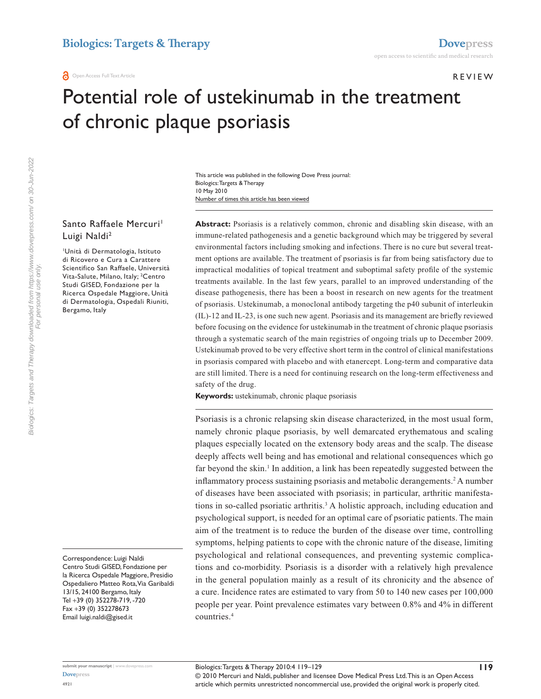#### Review

# Potential role of ustekinumab in the treatment of chronic plaque psoriasis

Number of times this article has been viewed This article was published in the following Dove Press journal: Biologics: Targets & Therapy 10 May 2010

## Santo Raffaele Mercuri<sup>1</sup> Luigi Naldi2

1 Unità di Dermatologia, Istituto di Ricovero e Cura a Carattere Scientifico San Raffaele, Università Vita-Salute, Milano, Italy; 2 Centro Studi GISED, Fondazione per la Ricerca Ospedale Maggiore, Unità di Dermatologia, Ospedali Riuniti, Bergamo, Italy

Correspondence: Luigi Naldi Centro Studi GISED, Fondazione per la Ricerca Ospedale Maggiore, Presidio Ospedaliero Matteo Rota, Via Garibaldi 13/15, 24100 Bergamo, Italy Tel +39 (0) 352278-719, -720 Fax +39 (0) 352278673 Email luigi.naldi@gised.it

**Abstract:** Psoriasis is a relatively common, chronic and disabling skin disease, with an immune-related pathogenesis and a genetic background which may be triggered by several environmental factors including smoking and infections. There is no cure but several treatment options are available. The treatment of psoriasis is far from being satisfactory due to impractical modalities of topical treatment and suboptimal safety profile of the systemic treatments available. In the last few years, parallel to an improved understanding of the disease pathogenesis, there has been a boost in research on new agents for the treatment of psoriasis. Ustekinumab, a monoclonal antibody targeting the p40 subunit of interleukin (IL)-12 and IL-23, is one such new agent. Psoriasis and its management are briefly reviewed before focusing on the evidence for ustekinumab in the treatment of chronic plaque psoriasis through a systematic search of the main registries of ongoing trials up to December 2009. Ustekinumab proved to be very effective short term in the control of clinical manifestations in psoriasis compared with placebo and with etanercept. Long-term and comparative data are still limited. There is a need for continuing research on the long-term effectiveness and safety of the drug.

**Keywords:** ustekinumab, chronic plaque psoriasis

Psoriasis is a chronic relapsing skin disease characterized, in the most usual form, namely chronic plaque psoriasis, by well demarcated erythematous and scaling plaques especially located on the extensory body areas and the scalp. The disease deeply affects well being and has emotional and relational consequences which go far beyond the skin.<sup>1</sup> In addition, a link has been repeatedly suggested between the inflammatory process sustaining psoriasis and metabolic derangements.<sup>2</sup> A number of diseases have been associated with psoriasis; in particular, arthritic manifestations in so-called psoriatic arthritis.3 A holistic approach, including education and psychological support, is needed for an optimal care of psoriatic patients. The main aim of the treatment is to reduce the burden of the disease over time, controlling symptoms, helping patients to cope with the chronic nature of the disease, limiting psychological and relational consequences, and preventing systemic complications and co-morbidity. Psoriasis is a disorder with a relatively high prevalence in the general population mainly as a result of its chronicity and the absence of a cure. Incidence rates are estimated to vary from 50 to 140 new cases per 100,000 people per year. Point prevalence estimates vary between 0.8% and 4% in different countries.4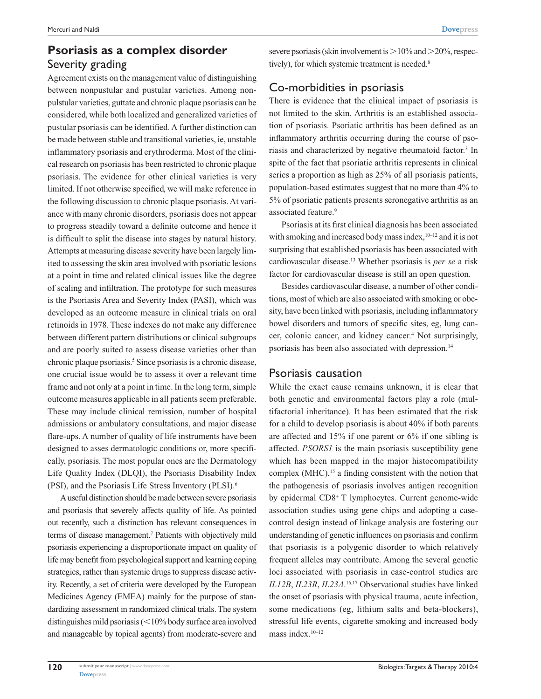# **Psoriasis as a complex disorder** Severity grading

Agreement exists on the management value of distinguishing between nonpustular and pustular varieties. Among nonpulstular varieties, guttate and chronic plaque psoriasis can be considered, while both localized and generalized varieties of pustular psoriasis can be identified. A further distinction can be made between stable and transitional varieties, ie, unstable inflammatory psoriasis and erythroderma. Most of the clinical research on psoriasis has been restricted to chronic plaque psoriasis. The evidence for other clinical varieties is very limited. If not otherwise specified, we will make reference in the following discussion to chronic plaque psoriasis. At variance with many chronic disorders, psoriasis does not appear to progress steadily toward a definite outcome and hence it is difficult to split the disease into stages by natural history. Attempts at measuring disease severity have been largely limited to assessing the skin area involved with psoriatic lesions at a point in time and related clinical issues like the degree of scaling and infiltration. The prototype for such measures is the Psoriasis Area and Severity Index (PASI), which was developed as an outcome measure in clinical trials on oral retinoids in 1978. These indexes do not make any difference between different pattern distributions or clinical subgroups and are poorly suited to assess disease varieties other than chronic plaque psoriasis.<sup>5</sup> Since psoriasis is a chronic disease, one crucial issue would be to assess it over a relevant time frame and not only at a point in time. In the long term, simple outcome measures applicable in all patients seem preferable. These may include clinical remission, number of hospital admissions or ambulatory consultations, and major disease flare-ups. A number of quality of life instruments have been designed to asses dermatologic conditions or, more specifically, psoriasis. The most popular ones are the Dermatology Life Quality Index (DLQI), the Psoriasis Disability Index (PSI), and the Psoriasis Life Stress Inventory (PLSI).6

A useful distinction should be made between severe psoriasis and psoriasis that severely affects quality of life. As pointed out recently, such a distinction has relevant consequences in terms of disease management.7 Patients with objectively mild psoriasis experiencing a disproportionate impact on quality of life may benefit from psychological support and learning coping strategies, rather than systemic drugs to suppress disease activity. Recently, a set of criteria were developed by the European Medicines Agency (EMEA) mainly for the purpose of standardizing assessment in randomized clinical trials. The system distinguishes mild psoriasis  $(<10\%$  body surface area involved and manageable by topical agents) from moderate-severe and

severe psoriasis (skin involvement is  $>10\%$  and  $>20\%$ , respectively), for which systemic treatment is needed.<sup>8</sup>

#### Co-morbidities in psoriasis

There is evidence that the clinical impact of psoriasis is not limited to the skin. Arthritis is an established association of psoriasis. Psoriatic arthritis has been defined as an inflammatory arthritis occurring during the course of psoriasis and characterized by negative rheumatoid factor.<sup>3</sup> In spite of the fact that psoriatic arthritis represents in clinical series a proportion as high as 25% of all psoriasis patients, population-based estimates suggest that no more than 4% to 5% of psoriatic patients presents seronegative arthritis as an associated feature.<sup>9</sup>

Psoriasis at its first clinical diagnosis has been associated with smoking and increased body mass index,<sup>10–12</sup> and it is not surprising that established psoriasis has been associated with cardiovascular disease.13 Whether psoriasis is *per se* a risk factor for cardiovascular disease is still an open question.

Besides cardiovascular disease, a number of other conditions, most of which are also associated with smoking or obesity, have been linked with psoriasis, including inflammatory bowel disorders and tumors of specific sites, eg, lung cancer, colonic cancer, and kidney cancer.<sup>4</sup> Not surprisingly, psoriasis has been also associated with depression.<sup>14</sup>

#### Psoriasis causation

While the exact cause remains unknown, it is clear that both genetic and environmental factors play a role (multifactorial inheritance). It has been estimated that the risk for a child to develop psoriasis is about 40% if both parents are affected and 15% if one parent or 6% if one sibling is affected. *PSORS1* is the main psoriasis susceptibility gene which has been mapped in the major histocompatibility complex  $(MHC)$ ,<sup>15</sup> a finding consistent with the notion that the pathogenesis of psoriasis involves antigen recognition by epidermal CD8<sup>+</sup> T lymphocytes. Current genome-wide association studies using gene chips and adopting a casecontrol design instead of linkage analysis are fostering our understanding of genetic influences on psoriasis and confirm that psoriasis is a polygenic disorder to which relatively frequent alleles may contribute. Among the several genetic loci associated with psoriasis in case-control studies are *IL12B*, *IL23R*, *IL23A*. 16,17 Observational studies have linked the onset of psoriasis with physical trauma, acute infection, some medications (eg, lithium salts and beta-blockers), stressful life events, cigarette smoking and increased body mass index.<sup>10–12</sup>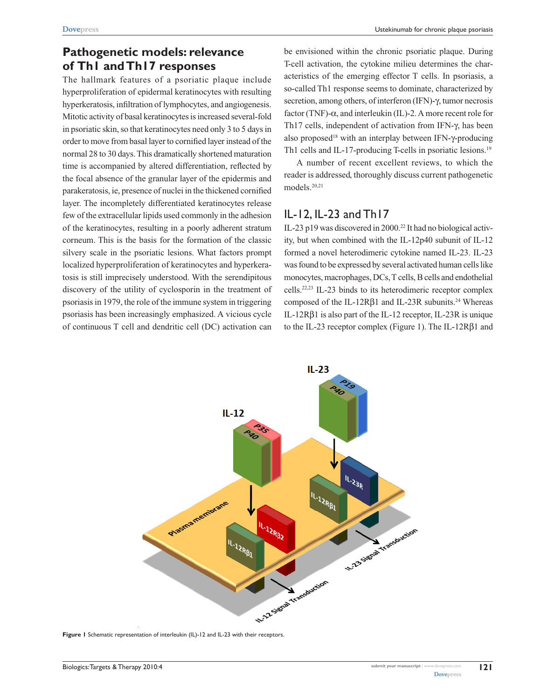## **Pathogenetic models: relevance of Th1 and Th17 responses**

The hallmark features of a psoriatic plaque include hyperproliferation of epidermal keratinocytes with resulting hyperkeratosis, infiltration of lymphocytes, and angiogenesis. Mitotic activity of basal keratinocytes is increased several-fold in psoriatic skin, so that keratinocytes need only 3 to 5 days in order to move from basal layer to cornified layer instead of the normal 28 to 30 days. This dramatically shortened maturation time is accompanied by altered differentiation, reflected by the focal absence of the granular layer of the epidermis and parakeratosis, ie, presence of nuclei in the thickened cornified layer. The incompletely differentiated keratinocytes release few of the extracellular lipids used commonly in the adhesion of the keratinocytes, resulting in a poorly adherent stratum corneum. This is the basis for the formation of the classic silvery scale in the psoriatic lesions. What factors prompt localized hyperproliferation of keratinocytes and hyperkeratosis is still imprecisely understood. With the serendipitous discovery of the utility of cyclosporin in the treatment of psoriasis in 1979, the role of the immune system in triggering psoriasis has been increasingly emphasized. A vicious cycle of continuous T cell and dendritic cell (DC) activation can be envisioned within the chronic psoriatic plaque. During T-cell activation, the cytokine milieu determines the characteristics of the emerging effector T cells. In psoriasis, a so-called Th1 response seems to dominate, characterized by secretion, among others, of interferon (IFN)-γ, tumor necrosis factor (TNF)-α, and interleukin (IL)-2. A more recent role for Th17 cells, independent of activation from IFN-γ, has been also proposed<sup>18</sup> with an interplay between IFN-γ-producing Th1 cells and IL-17-producing T-cells in psoriatic lesions.<sup>19</sup>

A number of recent excellent reviews, to which the reader is addressed, thoroughly discuss current pathogenetic models.<sup>20,21</sup>

## IL-12, IL-23 and Th17

IL-23 p19 was discovered in 2000.<sup>22</sup> It had no biological activity, but when combined with the IL-12p40 subunit of IL-12 formed a novel heterodimeric cytokine named IL-23. IL-23 was found to be expressed by several activated human cells like monocytes, macrophages, DCs, T cells, B cells and endothelial cells.22,23 IL-23 binds to its heterodimeric receptor complex composed of the IL-12Rβ1 and IL-23R subunits.<sup>24</sup> Whereas IL-12Rβ1 is also part of the IL-12 receptor, IL-23R is unique to the IL-23 receptor complex (Figure 1). The IL-12Rβ1 and



**Figure 1** Schematic representation of interleukin (IL)-12 and IL-23 with their receptors.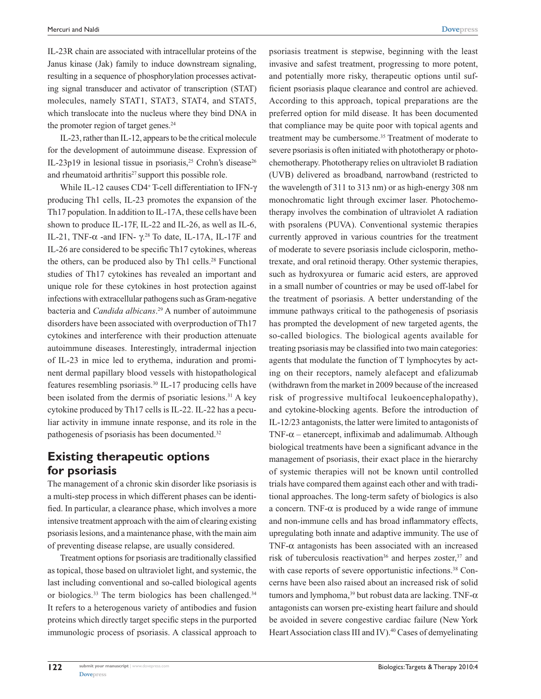IL-23R chain are associated with intracellular proteins of the Janus kinase (Jak) family to induce downstream signaling, resulting in a sequence of phosphorylation processes activating signal transducer and activator of transcription (STAT) molecules, namely STAT1, STAT3, STAT4, and STAT5, which translocate into the nucleus where they bind DNA in the promoter region of target genes.<sup>24</sup>

IL-23, rather than IL-12, appears to be the critical molecule for the development of autoimmune disease. Expression of IL-23p19 in lesional tissue in psoriasis,<sup>25</sup> Crohn's disease<sup>26</sup> and rheumatoid arthritis<sup>27</sup> support this possible role.

While IL-12 causes CD4<sup>+</sup> T-cell differentiation to IFN-γ producing Th1 cells, IL-23 promotes the expansion of the Th17 population. In addition to IL-17A, these cells have been shown to produce IL-17F, IL-22 and IL-26, as well as IL-6, IL-21, TNF- $\alpha$  -and IFN-  $\gamma$ .<sup>28</sup> To date, IL-17A, IL-17F and IL-26 are considered to be specific Th17 cytokines, whereas the others, can be produced also by Th1 cells.<sup>28</sup> Functional studies of Th17 cytokines has revealed an important and unique role for these cytokines in host protection against infections with extracellular pathogens such as Gram-negative bacteria and *Candida albicans*. 29 A number of autoimmune disorders have been associated with overproduction of Th17 cytokines and interference with their production attenuate autoimmune diseases. Interestingly, intradermal injection of IL-23 in mice led to erythema, induration and prominent dermal papillary blood vessels with histopathological features resembling psoriasis.30 IL-17 producing cells have been isolated from the dermis of psoriatic lesions.<sup>31</sup> A key cytokine produced by Th17 cells is IL-22. IL-22 has a peculiar activity in immune innate response, and its role in the pathogenesis of psoriasis has been documented.<sup>32</sup>

# **Existing therapeutic options for psoriasis**

The management of a chronic skin disorder like psoriasis is a multi-step process in which different phases can be identified. In particular, a clearance phase, which involves a more intensive treatment approach with the aim of clearing existing psoriasis lesions, and a maintenance phase, with the main aim of preventing disease relapse, are usually considered.

Treatment options for psoriasis are traditionally classified as topical, those based on ultraviolet light, and systemic, the last including conventional and so-called biological agents or biologics.<sup>33</sup> The term biologics has been challenged.<sup>34</sup> It refers to a heterogenous variety of antibodies and fusion proteins which directly target specific steps in the purported immunologic process of psoriasis. A classical approach to psoriasis treatment is stepwise, beginning with the least invasive and safest treatment, progressing to more potent, and potentially more risky, therapeutic options until sufficient psoriasis plaque clearance and control are achieved. According to this approach, topical preparations are the preferred option for mild disease. It has been documented that compliance may be quite poor with topical agents and treatment may be cumbersome.<sup>35</sup> Treatment of moderate to severe psoriasis is often initiated with phototherapy or photochemotherapy. Phototherapy relies on ultraviolet B radiation (UVB) delivered as broadband, narrowband (restricted to the wavelength of 311 to 313 nm) or as high-energy 308 nm monochromatic light through excimer laser. Photochemotherapy involves the combination of ultraviolet A radiation with psoralens (PUVA). Conventional systemic therapies currently approved in various countries for the treatment of moderate to severe psoriasis include ciclosporin, methotrexate, and oral retinoid therapy. Other systemic therapies, such as hydroxyurea or fumaric acid esters, are approved in a small number of countries or may be used off-label for the treatment of psoriasis. A better understanding of the immune pathways critical to the pathogenesis of psoriasis has prompted the development of new targeted agents, the so-called biologics. The biological agents available for treating psoriasis may be classified into two main categories: agents that modulate the function of T lymphocytes by acting on their receptors, namely alefacept and efalizumab (withdrawn from the market in 2009 because of the increased risk of progressive multifocal leukoencephalopathy), and cytokine-blocking agents. Before the introduction of IL-12/23 antagonists, the latter were limited to antagonists of TNF- $\alpha$  – etanercept, infliximab and adalimumab. Although biological treatments have been a significant advance in the management of psoriasis, their exact place in the hierarchy of systemic therapies will not be known until controlled trials have compared them against each other and with traditional approaches. The long-term safety of biologics is also a concern. TNF- $\alpha$  is produced by a wide range of immune and non-immune cells and has broad inflammatory effects, upregulating both innate and adaptive immunity. The use of TNF- $\alpha$  antagonists has been associated with an increased risk of tuberculosis reactivation<sup>36</sup> and herpes zoster,<sup>37</sup> and with case reports of severe opportunistic infections.<sup>38</sup> Concerns have been also raised about an increased risk of solid tumors and lymphoma,<sup>39</sup> but robust data are lacking. TNF- $\alpha$ antagonists can worsen pre-existing heart failure and should be avoided in severe congestive cardiac failure (New York Heart Association class III and IV).<sup>40</sup> Cases of demyelinating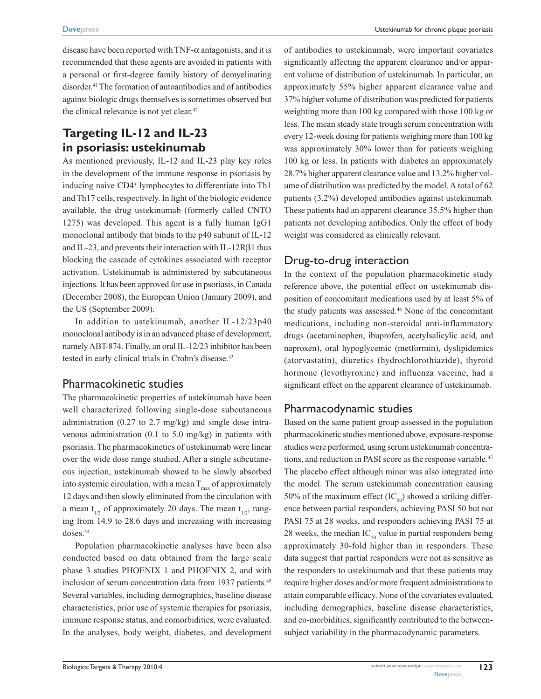disease have been reported with TNF- $\alpha$  antagonists, and it is recommended that these agents are avoided in patients with a personal or first-degree family history of demyelinating disorder.41 The formation of autoantibodies and of antibodies against biologic drugs themselves is sometimes observed but the clinical relevance is not yet clear.<sup>42</sup>

# **Targeting IL-12 and IL-23 in psoriasis: ustekinumab**

As mentioned previously, IL-12 and IL-23 play key roles in the development of the immune response in psoriasis by inducing naive CD4<sup>+</sup> lymphocytes to differentiate into Th1 and Th17 cells, respectively. In light of the biologic evidence available, the drug ustekinumab (formerly called CNTO 1275) was developed. This agent is a fully human IgG1 monoclonal antibody that binds to the p40 subunit of IL-12 and IL-23, and prevents their interaction with IL-12Rβ1 thus blocking the cascade of cytokines associated with receptor activation. Ustekinumab is administered by subcutaneous injections. It has been approved for use in psoriasis, in Canada (December 2008), the European Union (January 2009), and the US (September 2009).

In addition to ustekinumab, another IL-12/23p40 monoclonal antibody is in an advanced phase of development, namely ABT-874. Finally, an oral IL-12/23 inhibitor has been tested in early clinical trials in Crohn's disease.<sup>43</sup>

#### Pharmacokinetic studies

The pharmacokinetic properties of ustekinumab have been well characterized following single-dose subcutaneous administration (0.27 to 2.7 mg/kg) and single dose intravenous administration (0.1 to 5.0 mg/kg) in patients with psoriasis. The pharmacokinetics of ustekinumab were linear over the wide dose range studied. After a single subcutaneous injection, ustekinumab showed to be slowly absorbed into systemic circulation, with a mean  $T_{\text{max}}$  of approximately 12 days and then slowly eliminated from the circulation with a mean  $t_{1/2}$  of approximately 20 days. The mean  $t_{1/2}$ , ranging from 14.9 to 28.6 days and increasing with increasing doses.44

Population pharmacokinetic analyses have been also conducted based on data obtained from the large scale phase 3 studies PHOENIX 1 and PHOENIX 2, and with inclusion of serum concentration data from 1937 patients.<sup>45</sup> Several variables, including demographics, baseline disease characteristics, prior use of systemic therapies for psoriasis, immune response status, and comorbidities, were evaluated. In the analyses, body weight, diabetes, and development of antibodies to ustekinumab, were important covariates significantly affecting the apparent clearance and/or apparent volume of distribution of ustekinumab. In particular, an approximately 55% higher apparent clearance value and 37% higher volume of distribution was predicted for patients weighting more than 100 kg compared with those 100 kg or less. The mean steady state trough serum concentration with every 12-week dosing for patients weighing more than 100 kg was approximately 30% lower than for patients weighing 100 kg or less. In patients with diabetes an approximately 28.7% higher apparent clearance value and 13.2% higher volume of distribution was predicted by the model. A total of 62 patients (3.2%) developed antibodies against ustekinumab. These patients had an apparent clearance 35.5% higher than patients not developing antibodies. Only the effect of body weight was considered as clinically relevant.

## Drug-to-drug interaction

In the context of the population pharmacokinetic study reference above, the potential effect on ustekinumab disposition of concomitant medications used by at least 5% of the study patients was assessed.<sup>46</sup> None of the concomitant medications, including non-steroidal anti-inflammatory drugs (acetaminophen, ibuprofen, acetylsalicylic acid, and naproxen), oral hypoglycemic (metformin), dyslipidemics (atorvastatin), diuretics (hydrochlorothiazide), thyroid hormone (levothyroxine) and influenza vaccine, had a significant effect on the apparent clearance of ustekinumab.

## Pharmacodynamic studies

Based on the same patient group assessed in the population pharmacokinetic studies mentioned above, exposure-response studies were performed, using serum ustekinumab concentrations, and reduction in PASI score as the response variable.<sup>47</sup> The placebo effect although minor was also integrated into the model. The serum ustekinumab concentration causing 50% of the maximum effect  $(IC_{50})$  showed a striking difference between partial responders, achieving PASI 50 but not PASI 75 at 28 weeks, and responders achieving PASI 75 at 28 weeks, the median  $IC_{50}$  value in partial responders being approximately 30-fold higher than in responders. These data suggest that partial responders were not as sensitive as the responders to ustekinumab and that these patients may require higher doses and/or more frequent administrations to attain comparable efficacy. None of the covariates evaluated, including demographics, baseline disease characteristics, and co-morbidities, significantly contributed to the betweensubject variability in the pharmacodynamic parameters.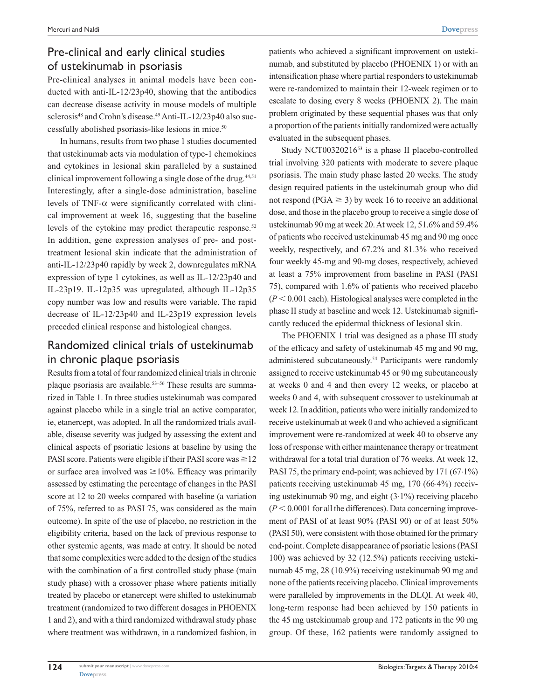# Pre-clinical and early clinical studies of ustekinumab in psoriasis

Pre-clinical analyses in animal models have been conducted with anti-IL-12/23p40, showing that the antibodies can decrease disease activity in mouse models of multiple sclerosis<sup>48</sup> and Crohn's disease.<sup>49</sup> Anti-IL-12/23p40 also successfully abolished psoriasis-like lesions in mice.<sup>50</sup>

In humans, results from two phase 1 studies documented that ustekinumab acts via modulation of type-1 chemokines and cytokines in lesional skin paralleled by a sustained clinical improvement following a single dose of the drug.<sup>44,51</sup> Interestingly, after a single-dose administration, baseline levels of TNF-α were significantly correlated with clinical improvement at week 16, suggesting that the baseline levels of the cytokine may predict therapeutic response.<sup>52</sup> In addition, gene expression analyses of pre- and posttreatment lesional skin indicate that the administration of anti-IL-12/23p40 rapidly by week 2, downregulates mRNA expression of type 1 cytokines, as well as IL-12/23p40 and IL-23p19. IL-12p35 was upregulated, although IL-12p35 copy number was low and results were variable. The rapid decrease of IL-12/23p40 and IL-23p19 expression levels preceded clinical response and histological changes.

# Randomized clinical trials of ustekinumab in chronic plaque psoriasis

Results from a total of four randomized clinical trials in chronic plaque psoriasis are available.53–56 These results are summarized in Table 1. In three studies ustekinumab was compared against placebo while in a single trial an active comparator, ie, etanercept, was adopted. In all the randomized trials available, disease severity was judged by assessing the extent and clinical aspects of psoriatic lesions at baseline by using the PASI score. Patients were eligible if their PASI score was  $\geq$  12 or surface area involved was  $\geq 10\%$ . Efficacy was primarily assessed by estimating the percentage of changes in the PASI score at 12 to 20 weeks compared with baseline (a variation of 75%, referred to as PASI 75, was considered as the main outcome). In spite of the use of placebo, no restriction in the eligibility criteria, based on the lack of previous response to other systemic agents, was made at entry. It should be noted that some complexities were added to the design of the studies with the combination of a first controlled study phase (main study phase) with a crossover phase where patients initially treated by placebo or etanercept were shifted to ustekinumab treatment (randomized to two different dosages in PHOENIX 1 and 2), and with a third randomized withdrawal study phase where treatment was withdrawn, in a randomized fashion, in patients who achieved a significant improvement on ustekinumab, and substituted by placebo (PHOENIX 1) or with an intensification phase where partial responders to ustekinumab were re-randomized to maintain their 12-week regimen or to escalate to dosing every 8 weeks (PHOENIX 2). The main problem originated by these sequential phases was that only a proportion of the patients initially randomized were actually evaluated in the subsequent phases.

Study NCT0032021653 is a phase II placebo-controlled trial involving 320 patients with moderate to severe plaque psoriasis. The main study phase lasted 20 weeks. The study design required patients in the ustekinumab group who did not respond (PGA  $\geq$  3) by week 16 to receive an additional dose, and those in the placebo group to receive a single dose of ustekinumab 90 mg at week 20. At week 12, 51.6% and 59.4% of patients who received ustekinumab 45 mg and 90 mg once weekly, respectively, and 67.2% and 81.3% who received four weekly 45-mg and 90-mg doses, respectively, achieved at least a 75% improvement from baseline in PASI (PASI 75), compared with 1.6% of patients who received placebo  $(P < 0.001$  each). Histological analyses were completed in the phase II study at baseline and week 12. Ustekinumab significantly reduced the epidermal thickness of lesional skin.

The PHOENIX 1 trial was designed as a phase III study of the efficacy and safety of ustekinumab 45 mg and 90 mg, administered subcutaneously.54 Participants were randomly assigned to receive ustekinumab 45 or 90 mg subcutaneously at weeks 0 and 4 and then every 12 weeks, or placebo at weeks 0 and 4, with subsequent crossover to ustekinumab at week 12. In addition, patients who were initially randomized to receive ustekinumab at week 0 and who achieved a significant improvement were re-randomized at week 40 to observe any loss of response with either maintenance therapy or treatment withdrawal for a total trial duration of 76 weeks. At week 12, PASI 75, the primary end-point; was achieved by 171 (67⋅1%) patients receiving ustekinumab 45 mg, 170 (66⋅4%) receiving ustekinumab 90 mg, and eight (3⋅1%) receiving placebo  $(P < 0.0001$  for all the differences). Data concerning improvement of PASI of at least 90% (PASI 90) or of at least 50% (PASI 50), were consistent with those obtained for the primary end-point. Complete disappearance of psoriatic lesions (PASI 100) was achieved by 32 (12.5%) patients receiving ustekinumab 45 mg, 28 (10.9%) receiving ustekinumab 90 mg and none of the patients receiving placebo. Clinical improvements were paralleled by improvements in the DLQI. At week 40, long-term response had been achieved by 150 patients in the 45 mg ustekinumab group and 172 patients in the 90 mg group. Of these, 162 patients were randomly assigned to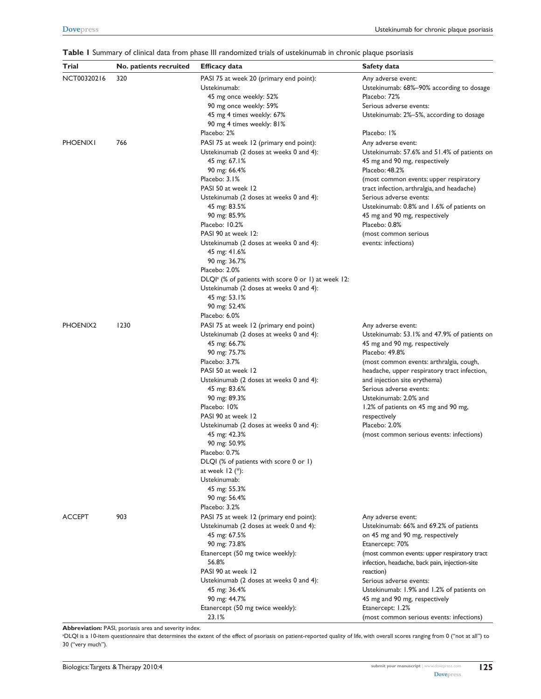**Table 1** Summary of clinical data from phase III randomized trials of ustekinumab in chronic plaque psoriasis

| Trial           | No. patients recruited | Efficacy data                                                   | Safety data                                                                  |
|-----------------|------------------------|-----------------------------------------------------------------|------------------------------------------------------------------------------|
| NCT00320216     | 320                    | PASI 75 at week 20 (primary end point):                         | Any adverse event:                                                           |
|                 |                        | Ustekinumab:                                                    | Ustekinumab: 68%–90% according to dosage                                     |
|                 |                        | 45 mg once weekly: 52%                                          | Placebo: 72%                                                                 |
|                 |                        | 90 mg once weekly: 59%                                          | Serious adverse events:                                                      |
|                 |                        | 45 mg 4 times weekly: 67%                                       | Ustekinumab: 2%-5%, according to dosage                                      |
|                 |                        | 90 mg 4 times weekly: 81%                                       |                                                                              |
|                 |                        | Placebo: 2%                                                     | Placebo: 1%                                                                  |
| <b>PHOENIX1</b> | 766                    | PASI 75 at week 12 (primary end point):                         | Any adverse event:                                                           |
|                 |                        | Ustekinumab (2 doses at weeks 0 and 4):                         | Ustekinumab: 57.6% and 51.4% of patients on                                  |
|                 |                        | 45 mg: 67.1%                                                    | 45 mg and 90 mg, respectively                                                |
|                 |                        | 90 mg: 66.4%                                                    | Placebo: 48.2%                                                               |
|                 |                        | Placebo: 3.1%                                                   | (most common events: upper respiratory                                       |
|                 |                        | PASI 50 at week 12                                              | tract infection, arthralgia, and headache)                                   |
|                 |                        | Ustekinumab (2 doses at weeks 0 and 4):                         | Serious adverse events:                                                      |
|                 |                        | 45 mg: 83.5%                                                    | Ustekinumab: 0.8% and 1.6% of patients on                                    |
|                 |                        | 90 mg: 85.9%                                                    | 45 mg and 90 mg, respectively                                                |
|                 |                        | Placebo: 10.2%                                                  | Placebo: 0.8%                                                                |
|                 |                        | PASI 90 at week 12:                                             | (most common serious                                                         |
|                 |                        | Ustekinumab (2 doses at weeks 0 and 4):                         | events: infections)                                                          |
|                 |                        | 45 mg: 41.6%                                                    |                                                                              |
|                 |                        | 90 mg: 36.7%                                                    |                                                                              |
|                 |                        | Placebo: 2.0%                                                   |                                                                              |
|                 |                        | DLQ <sup>1ª</sup> (% of patients with score 0 or 1) at week 12: |                                                                              |
|                 |                        | Ustekinumab (2 doses at weeks 0 and 4):                         |                                                                              |
|                 |                        | 45 mg: 53.1%                                                    |                                                                              |
|                 |                        | 90 mg: 52.4%                                                    |                                                                              |
|                 |                        | Placebo: 6.0%                                                   |                                                                              |
| PHOENIX2        | 1230                   | PASI 75 at week 12 (primary end point)                          | Any adverse event:                                                           |
|                 |                        | Ustekinumab (2 doses at weeks 0 and 4):                         | Ustekinumab: 53.1% and 47.9% of patients on                                  |
|                 |                        | 45 mg: 66.7%                                                    | 45 mg and 90 mg, respectively                                                |
|                 |                        | 90 mg: 75.7%                                                    | Placebo: 49.8%                                                               |
|                 |                        | Placebo: 3.7%<br>PASI 50 at week 12                             | (most common events: arthralgia, cough,                                      |
|                 |                        | Ustekinumab (2 doses at weeks 0 and 4):                         | headache, upper respiratory tract infection,<br>and injection site erythema) |
|                 |                        | 45 mg: 83.6%                                                    | Serious adverse events:                                                      |
|                 |                        | 90 mg: 89.3%                                                    | Ustekinumab: 2.0% and                                                        |
|                 |                        | Placebo: 10%                                                    | 1.2% of patients on 45 mg and 90 mg,                                         |
|                 |                        | PASI 90 at week 12                                              | respectively                                                                 |
|                 |                        | Ustekinumab (2 doses at weeks 0 and 4):                         | Placebo: 2.0%                                                                |
|                 |                        | 45 mg: 42.3%                                                    | (most common serious events: infections)                                     |
|                 |                        | 90 mg: 50.9%                                                    |                                                                              |
|                 |                        | Placebo: 0.7%                                                   |                                                                              |
|                 |                        | DLQI (% of patients with score 0 or 1)                          |                                                                              |
|                 |                        | at week $12$ $(*)$ :                                            |                                                                              |
|                 |                        | Ustekinumab:                                                    |                                                                              |
|                 |                        | 45 mg: 55.3%                                                    |                                                                              |
|                 |                        | 90 mg: 56.4%                                                    |                                                                              |
|                 |                        | Placebo: 3.2%                                                   |                                                                              |
| <b>ACCEPT</b>   | 903                    | PASI 75 at week 12 (primary end point):                         | Any adverse event:                                                           |
|                 |                        | Ustekinumab (2 doses at week 0 and 4):                          | Ustekinumab: 66% and 69.2% of patients                                       |
|                 |                        | 45 mg: 67.5%                                                    | on 45 mg and 90 mg, respectively                                             |
|                 |                        | 90 mg: 73.8%                                                    | Etanercept: 70%                                                              |
|                 |                        | Etanercept (50 mg twice weekly):                                | (most common events: upper respiratory tract                                 |
|                 |                        | 56.8%                                                           | infection, headache, back pain, injection-site                               |
|                 |                        | PASI 90 at week 12                                              | reaction)                                                                    |
|                 |                        | Ustekinumab (2 doses at weeks 0 and 4):                         | Serious adverse events:                                                      |
|                 |                        | 45 mg: 36.4%                                                    | Ustekinumab: 1.9% and 1.2% of patients on                                    |
|                 |                        | 90 mg: 44.7%                                                    | 45 mg and 90 mg, respectively                                                |
|                 |                        | Etanercept (50 mg twice weekly):                                | Etanercept: 1.2%                                                             |
|                 |                        | 23.1%                                                           | (most common serious events: infections)                                     |

**Abbreviation:** PASI, psoriasis area and severity index.

a DLQI is a 10-item questionnaire that determines the extent of the effect of psoriasis on patient-reported quality of life, with overall scores ranging from 0 ("not at all") to 30 ("very much").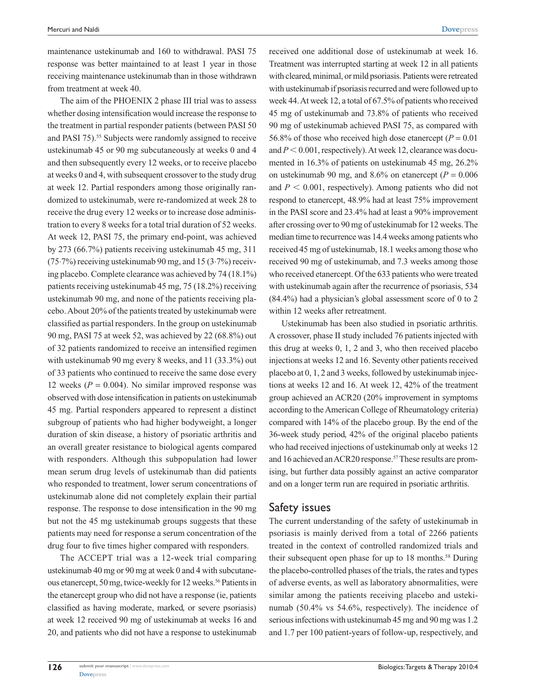maintenance ustekinumab and 160 to withdrawal. PASI 75 response was better maintained to at least 1 year in those receiving maintenance ustekinumab than in those withdrawn from treatment at week 40.

The aim of the PHOENIX 2 phase III trial was to assess whether dosing intensification would increase the response to the treatment in partial responder patients (between PASI 50 and PASI 75).<sup>55</sup> Subjects were randomly assigned to receive ustekinumab 45 or 90 mg subcutaneously at weeks 0 and 4 and then subsequently every 12 weeks, or to receive placebo at weeks 0 and 4, with subsequent crossover to the study drug at week 12. Partial responders among those originally randomized to ustekinumab, were re-randomized at week 28 to receive the drug every 12 weeks or to increase dose administration to every 8 weeks for a total trial duration of 52 weeks. At week 12, PASI 75, the primary end-point, was achieved by 273 (66.7%) patients receiving ustekinumab 45 mg, 311 (75⋅7%) receiving ustekinumab 90 mg, and 15 (3⋅7%) receiving placebo. Complete clearance was achieved by 74 (18.1%) patients receiving ustekinumab 45 mg, 75 (18.2%) receiving ustekinumab 90 mg, and none of the patients receiving placebo. About 20% of the patients treated by ustekinumab were classified as partial responders. In the group on ustekinumab 90 mg, PASI 75 at week 52, was achieved by 22 (68.8%) out of 32 patients randomized to receive an intensified regimen with ustekinumab 90 mg every 8 weeks, and 11 (33.3%) out of 33 patients who continued to receive the same dose every 12 weeks ( $P = 0.004$ ). No similar improved response was observed with dose intensification in patients on ustekinumab 45 mg. Partial responders appeared to represent a distinct subgroup of patients who had higher bodyweight, a longer duration of skin disease, a history of psoriatic arthritis and an overall greater resistance to biological agents compared with responders. Although this subpopulation had lower mean serum drug levels of ustekinumab than did patients who responded to treatment, lower serum concentrations of ustekinumab alone did not completely explain their partial response. The response to dose intensification in the 90 mg but not the 45 mg ustekinumab groups suggests that these patients may need for response a serum concentration of the drug four to five times higher compared with responders.

The ACCEPT trial was a 12-week trial comparing ustekinumab 40 mg or 90 mg at week 0 and 4 with subcutaneous etanercept, 50 mg, twice-weekly for 12 weeks.<sup>56</sup> Patients in the etanercept group who did not have a response (ie, patients classified as having moderate, marked, or severe psoriasis) at week 12 received 90 mg of ustekinumab at weeks 16 and 20, and patients who did not have a response to ustekinumab received one additional dose of ustekinumab at week 16. Treatment was interrupted starting at week 12 in all patients with cleared, minimal, or mild psoriasis. Patients were retreated with ustekinumab if psoriasis recurred and were followed up to week 44. At week 12, a total of 67.5% of patients who received 45 mg of ustekinumab and 73.8% of patients who received 90 mg of ustekinumab achieved PASI 75, as compared with 56.8% of those who received high dose etanercept ( $P = 0.01$ ) and  $P < 0.001$ , respectively). At week 12, clearance was documented in 16.3% of patients on ustekinumab 45 mg, 26.2% on ustekinumab 90 mg, and 8.6% on etanercept ( $P = 0.006$ ) and  $P < 0.001$ , respectively). Among patients who did not respond to etanercept, 48.9% had at least 75% improvement in the PASI score and 23.4% had at least a 90% improvement after crossing over to 90 mg of ustekinumab for 12 weeks. The median time to recurrence was 14.4weeks among patients who received 45 mg of ustekinumab, 18.1 weeks among those who received 90 mg of ustekinumab, and 7.3 weeks among those who received etanercept. Of the 633 patients who were treated with ustekinumab again after the recurrence of psoriasis, 534 (84.4%) had a physician's global assessment score of 0 to 2 within 12 weeks after retreatment.

Ustekinumab has been also studied in psoriatic arthritis. A crossover, phase II study included 76 patients injected with this drug at weeks 0, 1, 2 and 3, who then received placebo injections at weeks 12 and 16. Seventy other patients received placebo at 0, 1, 2 and 3 weeks, followed by ustekinumab injections at weeks 12 and 16. At week 12, 42% of the treatment group achieved an ACR20 (20% improvement in symptoms according to the American College of Rheumatology criteria) compared with 14% of the placebo group. By the end of the 36-week study period, 42% of the original placebo patients who had received injections of ustekinumab only at weeks 12 and 16 achieved an ACR20 response.<sup>57</sup> These results are promising, but further data possibly against an active comparator and on a longer term run are required in psoriatic arthritis.

#### Safety issues

The current understanding of the safety of ustekinumab in psoriasis is mainly derived from a total of 2266 patients treated in the context of controlled randomized trials and their subsequent open phase for up to 18 months.<sup>58</sup> During the placebo-controlled phases of the trials, the rates and types of adverse events, as well as laboratory abnormalities, were similar among the patients receiving placebo and ustekinumab (50.4% vs 54.6%, respectively). The incidence of serious infections with ustekinumab 45 mg and 90 mg was 1.2 and 1.7 per 100 patient-years of follow-up, respectively, and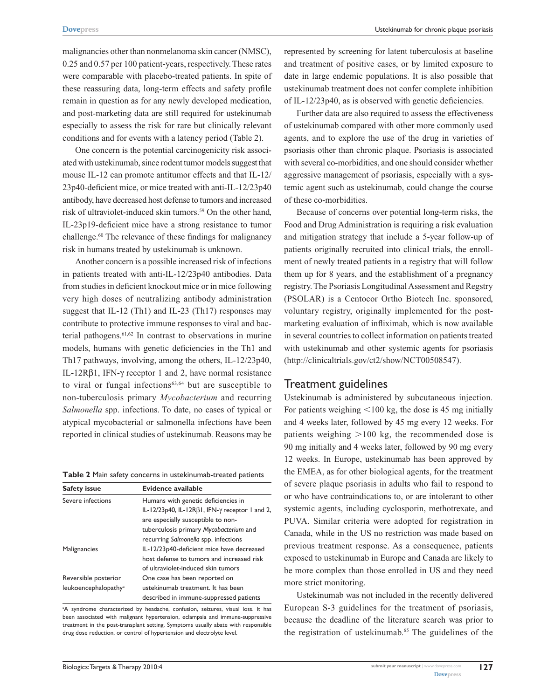malignancies other than nonmelanoma skin cancer (NMSC), 0.25 and 0.57 per 100 patient-years, respectively. These rates were comparable with placebo-treated patients. In spite of these reassuring data, long-term effects and safety profile remain in question as for any newly developed medication, and post-marketing data are still required for ustekinumab especially to assess the risk for rare but clinically relevant conditions and for events with a latency period (Table 2).

One concern is the potential carcinogenicity risk associated with ustekinumab, since rodent tumor models suggest that mouse IL-12 can promote antitumor effects and that IL-12/ 23p40-deficient mice, or mice treated with anti-IL-12/23p40 antibody, have decreased host defense to tumors and increased risk of ultraviolet-induced skin tumors.<sup>59</sup> On the other hand, IL-23p19-deficient mice have a strong resistance to tumor challenge.60 The relevance of these findings for malignancy risk in humans treated by ustekinumab is unknown.

Another concern is a possible increased risk of infections in patients treated with anti-IL-12/23p40 antibodies. Data from studies in deficient knockout mice or in mice following very high doses of neutralizing antibody administration suggest that IL-12 (Th1) and IL-23 (Th17) responses may contribute to protective immune responses to viral and bacterial pathogens.61,62 In contrast to observations in murine models, humans with genetic deficiencies in the Th1 and Th17 pathways, involving, among the others, IL-12/23p40, IL-12Rβ1, IFN-γ receptor 1 and 2, have normal resistance to viral or fungal infections $63,64$  but are susceptible to non-tuberculosis primary *Mycobacterium* and recurring *Salmonella* spp. infections. To date, no cases of typical or atypical mycobacterial or salmonella infections have been reported in clinical studies of ustekinumab. Reasons may be

|  |  | Table 2 Main safety concerns in ustekinumab-treated patients |  |
|--|--|--------------------------------------------------------------|--|
|--|--|--------------------------------------------------------------|--|

| <b>Safety issue</b>              | <b>Evidence available</b>                                      |
|----------------------------------|----------------------------------------------------------------|
| Severe infections                | Humans with genetic deficiencies in                            |
|                                  | IL-12/23p40, IL-12R $\beta$ I, IFN- $\gamma$ receptor 1 and 2, |
|                                  | are especially susceptible to non-                             |
|                                  | tuberculosis primary Mycobacterium and                         |
|                                  | recurring Salmonella spp. infections                           |
| Malignancies                     | IL-12/23p40-deficient mice have decreased                      |
|                                  | host defense to tumors and increased risk                      |
|                                  | of ultraviolet-induced skin tumors                             |
| Reversible posterior             | One case has been reported on                                  |
| leukoencephalopathy <sup>a</sup> | ustekinumab treatment. It has been                             |
|                                  | described in immune-suppressed patients                        |

<sup>a</sup>A syndrome characterized by headache, confusion, seizures, visual loss. It has been associated with malignant hypertension, eclampsia and immune-suppressive treatment in the post-transplant setting. Symptoms usually abate with responsible drug dose reduction, or control of hypertension and electrolyte level.

represented by screening for latent tuberculosis at baseline and treatment of positive cases, or by limited exposure to date in large endemic populations. It is also possible that ustekinumab treatment does not confer complete inhibition of IL-12/23p40, as is observed with genetic deficiencies.

Further data are also required to assess the effectiveness of ustekinumab compared with other more commonly used agents, and to explore the use of the drug in varieties of psoriasis other than chronic plaque. Psoriasis is associated with several co-morbidities, and one should consider whether aggressive management of psoriasis, especially with a systemic agent such as ustekinumab, could change the course of these co-morbidities.

Because of concerns over potential long-term risks, the Food and Drug Administration is requiring a risk evaluation and mitigation strategy that include a 5-year follow-up of patients originally recruited into clinical trials, the enrollment of newly treated patients in a registry that will follow them up for 8 years, and the establishment of a pregnancy registry. The Psoriasis Longitudinal Assessment and Regstry (PSOLAR) is a Centocor Ortho Biotech Inc. sponsored, voluntary registry, originally implemented for the postmarketing evaluation of infliximab, which is now available in several countries to collect information on patients treated with ustekinumab and other systemic agents for psoriasis (http://clinicaltrials.gov/ct2/show/NCT00508547).

#### Treatment guidelines

Ustekinumab is administered by subcutaneous injection. For patients weighing  $\leq 100$  kg, the dose is 45 mg initially and 4 weeks later, followed by 45 mg every 12 weeks. For patients weighing  $>100$  kg, the recommended dose is 90 mg initially and 4 weeks later, followed by 90 mg every 12 weeks. In Europe, ustekinumab has been approved by the EMEA, as for other biological agents, for the treatment of severe plaque psoriasis in adults who fail to respond to or who have contraindications to, or are intolerant to other systemic agents, including cyclosporin, methotrexate, and PUVA. Similar criteria were adopted for registration in Canada, while in the US no restriction was made based on previous treatment response. As a consequence, patients exposed to ustekinumab in Europe and Canada are likely to be more complex than those enrolled in US and they need more strict monitoring.

Ustekinumab was not included in the recently delivered European S-3 guidelines for the treatment of psoriasis, because the deadline of the literature search was prior to the registration of ustekinumab.<sup>65</sup> The guidelines of the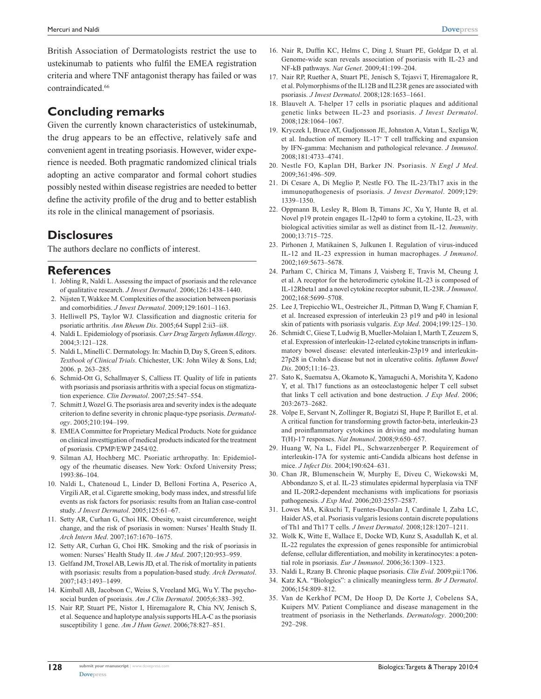British Association of Dermatologists restrict the use to ustekinumab to patients who fulfil the EMEA registration criteria and where TNF antagonist therapy has failed or was contraindicated.<sup>66</sup>

## **Concluding remarks**

Given the currently known characteristics of ustekinumab, the drug appears to be an effective, relatively safe and convenient agent in treating psoriasis. However, wider experience is needed. Both pragmatic randomized clinical trials adopting an active comparator and formal cohort studies possibly nested within disease registries are needed to better define the activity profile of the drug and to better establish its role in the clinical management of psoriasis.

## **Disclosures**

The authors declare no conflicts of interest.

#### **References**

- 1. Jobling R, Naldi L. Assessing the impact of psoriasis and the relevance of qualitative research. *J Invest Dermatol*. 2006;126:1438–1440.
- 2. Nijsten T, Wakkee M. Complexities of the association between psoriasis and comorbidities. *J Invest Dermatol*. 2009;129:1601–1163.
- 3. Helliwell PS, Taylor WJ. Classification and diagnostic criteria for psoriatic arthritis. *Ann Rheum Dis*. 2005;64 Suppl 2:ii3–ii8.
- 4. Naldi L. Epidemiology of psoriasis. *Curr Drug Targets Inflamm Allergy*. 2004;3:121–128.
- 5. Naldi L, Minelli C. Dermatology. In: Machin D, Day S, Green S, editors. *Textbook of Clinical Trials*. Chichester, UK: John Wiley & Sons, Ltd; 2006. p. 263–285.
- 6. Schmid-Ott G, Schallmayer S, Calliess IT. Quality of life in patients with psoriasis and psoriasis arthritis with a special focus on stigmatization experience. *Clin Dermatol*. 2007;25:547–554.
- 7. Schmitt J, Wozel G. The psoriasis area and severity index is the adequate criterion to define severity in chronic plaque-type psoriasis. *Dermatology*. 2005;210:194–199.
- 8. EMEA Committee for Proprietary Medical Products. Note for guidance on clinical investtigation of medical products indicated for the treatment of psoriasis. CPMP/EWP 2454/02.
- 9. Silman AJ, Hochberg MC. Psoriatic arthropathy. In: Epidemiology of the rheumatic diseases. New York: Oxford University Press; 1993:86–104.
- 10. Naldi L, Chatenoud L, Linder D, Belloni Fortina A, Peserico A, Virgili AR, et al. Cigarette smoking, body mass index, and stressful life events as risk factors for psoriasis: results from an Italian case-control study. *J Invest Dermatol*. 2005;125:61–67.
- 11. Setty AR, Curhan G, Choi HK. Obesity, waist circumference, weight change, and the risk of psoriasis in women: Nurses' Health Study II. *Arch Intern Med*. 2007;167:1670–1675.
- 12. Setty AR, Curhan G, Choi HK. Smoking and the risk of psoriasis in women: Nurses' Health Study II. *Am J Med*. 2007;120:953–959.
- 13. Gelfand JM, Troxel AB, Lewis JD, et al. The risk of mortality in patients with psoriasis: results from a population-based study. *Arch Dermatol*. 2007;143:1493–1499.
- 14. Kimball AB, Jacobson C, Weiss S, Vreeland MG, Wu Y. The psychosocial burden of psoriasis. *Am J Clin Dermatol*. 2005;6:383–392.
- 15. Nair RP, Stuart PE, Nistor I, Hiremagalore R, Chia NV, Jenisch S, et al. Sequence and haplotype analysis supports HLA-C as the psoriasis susceptibility 1 gene. *Am J Hum Genet*. 2006;78:827–851.
- 16. Nair R, Duffin KC, Helms C, Ding J, Stuart PE, Goldgar D, et al. Genome-wide scan reveals association of psoriasis with IL-23 and NF-kB pathways. *Nat Genet*. 2009;41:199–204.
- 17. Nair RP, Ruether A, Stuart PE, Jenisch S, Tejasvi T, Hiremagalore R, et al. Polymorphisms of the IL12B and IL23R genes are associated with psoriasis. *J Invest Dermatol*. 2008;128:1653–1661.
- 18. Blauvelt A. T-helper 17 cells in psoriatic plaques and additional genetic links between IL-23 and psoriasis. *J Invest Dermatol*. 2008;128:1064–1067.
- 19. Kryczek I, Bruce AT, Gudjonsson JE, Johnston A, Vatan L, Szeliga W, et al. Induction of memory IL-17<sup>+</sup> T cell trafficking and expansion by IFN-gamma: Mechanism and pathological relevance. *J Immunol*. 2008;181:4733–4741.
- 20. Nestle FO, Kaplan DH, Barker JN. Psoriasis. *N Engl J Med*. 2009;361:496–509.
- 21. Di Cesare A, Di Meglio P, Nestle FO. The IL-23/Th17 axis in the immunopathogenesis of psoriasis. *J Invest Dermatol*. 2009;129: 1339–1350.
- 22. Oppmann B, Lesley R, Blom B, Timans JC, Xu Y, Hunte B, et al. Novel p19 protein engages IL-12p40 to form a cytokine, IL-23, with biological activities similar as well as distinct from IL-12. *Immunity*. 2000;13:715–725.
- 23. Pirhonen J, Matikainen S, Julkunen I. Regulation of virus-induced IL-12 and IL-23 expression in human macrophages. *J Immunol*. 2002;169:5673–5678.
- 24. Parham C, Chirica M, Timans J, Vaisberg E, Travis M, Cheung J, et al. A receptor for the heterodimeric cytokine IL-23 is composed of IL-12Rbeta1 and a novel cytokine receptor subunit, IL-23R. *J Immunol*. 2002;168:5699–5708.
- 25. Lee J, Trepicchio WL, Oestreicher JL, Pittman D, Wang F, Chamian F, et al. Increased expression of interleukin 23 p19 and p40 in lesional skin of patients with psoriasis vulgaris. *Exp Med*. 2004;199:125–130.
- 26. Schmidt C, Giese T, Ludwig B, Mueller-Molaian I, Marth T, Zeuzem S, et al. Expression of interleukin-12-related cytokine transcripts in inflammatory bowel disease: elevated interleukin-23p19 and interleukin-27p28 in Crohn's disease but not in ulcerative colitis. *Inflamm Bowel Dis*. 2005;11:16–23.
- 27. Sato K, Suematsu A, Okamoto K, Yamaguchi A, Morishita Y, Kadono Y, et al. Th17 functions as an osteoclastogenic helper T cell subset that links T cell activation and bone destruction. *J Exp Med*. 2006; 203:2673–2682.
- 28. Volpe E, Servant N, Zollinger R, Bogiatzi SI, Hupe P, Barillot E, et al. A critical function for transforming growth factor-beta, interleukin-23 and proinflammatory cytokines in driving and modulating human T(H)-17 responses. *Nat Immunol*. 2008;9:650–657.
- 29. Huang W, Na L, Fidel PL, Schwarzenberger P. Requirement of interleukin-17A for systemic anti-Candida albicans host defense in mice. *J Infect Dis*. 2004;190:624–631.
- 30. Chan JR, Blumenschein W, Murphy E, Diveu C, Wiekowski M, Abbondanzo S, et al. IL-23 stimulates epidermal hyperplasia via TNF and IL-20R2-dependent mechanisms with implications for psoriasis pathogenesis. *J Exp Med*. 2006;203:2557–2587.
- 31. Lowes MA, Kikuchi T, Fuentes-Duculan J, Cardinale I, Zaba LC, Haider AS, et al. Psoriasis vulgaris lesions contain discrete populations of Th1 and Th17 T cells. *J Invest Dermatol*. 2008;128:1207–1211.
- 32. Wolk K, Witte E, Wallace E, Docke WD, Kunz S, Asadullah K, et al. IL-22 regulates the expression of genes responsible for antimicrobial defense, cellular differentiation, and mobility in keratinocytes: a potential role in psoriasis. *Eur J Immunol*. 2006;36:1309–1323.
- 33. Naldi L, Rzany B. Chronic plaque psoriasis. *Clin Evid*. 2009;pii:1706.
- 34. Katz KA. "Biologics": a clinically meaningless term. *Br J Dermatol*. 2006;154:809–812.
- 35. Van de Kerkhof PCM, De Hoop D, De Korte J, Cobelens SA, Kuipers MV. Patient Compliance and disease management in the treatment of psoriasis in the Netherlands. *Dermatology*. 2000;200: 292–298.